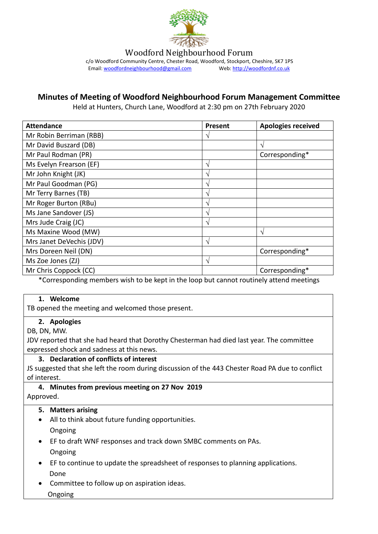

Woodford Neighbourhood Forum

c/o Woodford Community Centre, Chester Road, Woodford, Stockport, Cheshire, SK7 1PS<br>Email: woodfordneighbourhood@gmail.com Web: http://woodfordnf.co.uk Email: woodfordneighbourhood@gmail.com

# **Minutes of Meeting of Woodford Neighbourhood Forum Management Committee**

Held at Hunters, Church Lane, Woodford at 2:30 pm on 27th February 2020

| <b>Attendance</b>        | <b>Present</b> | <b>Apologies received</b> |
|--------------------------|----------------|---------------------------|
| Mr Robin Berriman (RBB)  | ٦              |                           |
| Mr David Buszard (DB)    |                | N                         |
| Mr Paul Rodman (PR)      |                | Corresponding*            |
| Ms Evelyn Frearson (EF)  | ٦              |                           |
| Mr John Knight (JK)      | ٦              |                           |
| Mr Paul Goodman (PG)     | ٦              |                           |
| Mr Terry Barnes (TB)     | ٦              |                           |
| Mr Roger Burton (RBu)    | ٦              |                           |
| Ms Jane Sandover (JS)    | ٦              |                           |
| Mrs Jude Craig (JC)      | N              |                           |
| Ms Maxine Wood (MW)      |                | ٦                         |
| Mrs Janet DeVechis (JDV) | ٦              |                           |
| Mrs Doreen Neil (DN)     |                | Corresponding*            |
| Ms Zoe Jones (ZJ)        | N              |                           |
| Mr Chris Coppock (CC)    |                | Corresponding*            |

\*Corresponding members wish to be kept in the loop but cannot routinely attend meetings

#### **1. Welcome**

TB opened the meeting and welcomed those present.

#### **2. Apologies**

DB, DN, MW.

JDV reported that she had heard that Dorothy Chesterman had died last year. The committee expressed shock and sadness at this news.

#### **3. Declaration of conflicts of interest**

JS suggested that she left the room during discussion of the 443 Chester Road PA due to conflict of interest.

#### **4. Minutes from previous meeting on 27 Nov 2019** Approved.

#### **5. Matters arising**

- All to think about future funding opportunities. Ongoing
- EF to draft WNF responses and track down SMBC comments on PAs. Ongoing
- EF to continue to update the spreadsheet of responses to planning applications. Done
- Committee to follow up on aspiration ideas.
	- Ongoing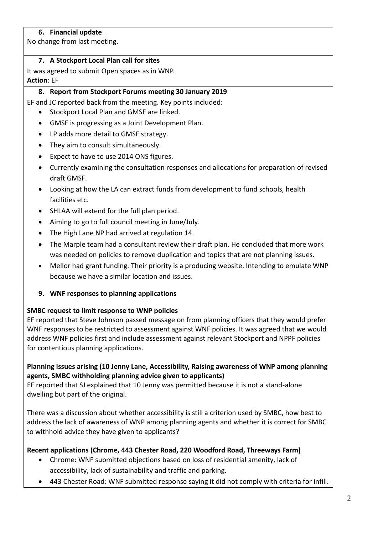## **6. Financial update**

No change from last meeting.

### **7. A Stockport Local Plan call for sites**

It was agreed to submit Open spaces as in WNP. **Action**: EF

## **8. Report from Stockport Forums meeting 30 January 2019**

EF and JC reported back from the meeting. Key points included:

- Stockport Local Plan and GMSF are linked.
- GMSF is progressing as a Joint Development Plan.
- LP adds more detail to GMSF strategy.
- They aim to consult simultaneously.
- Expect to have to use 2014 ONS figures.
- Currently examining the consultation responses and allocations for preparation of revised draft GMSF.
- Looking at how the LA can extract funds from development to fund schools, health facilities etc.
- SHLAA will extend for the full plan period.
- Aiming to go to full council meeting in June/July.
- The High Lane NP had arrived at regulation 14.
- The Marple team had a consultant review their draft plan. He concluded that more work was needed on policies to remove duplication and topics that are not planning issues.
- Mellor had grant funding. Their priority is a producing website. Intending to emulate WNP because we have a similar location and issues.
- **9. WNF responses to planning applications**

#### **SMBC request to limit response to WNP policies**

EF reported that Steve Johnson passed message on from planning officers that they would prefer WNF responses to be restricted to assessment against WNF policies. It was agreed that we would address WNF policies first and include assessment against relevant Stockport and NPPF policies for contentious planning applications.

### **Planning issues arising (10 Jenny Lane, Accessibility, Raising awareness of WNP among planning agents, SMBC withholding planning advice given to applicants)**

EF reported that SJ explained that 10 Jenny was permitted because it is not a stand-alone dwelling but part of the original.

There was a discussion about whether accessibility is still a criterion used by SMBC, how best to address the lack of awareness of WNP among planning agents and whether it is correct for SMBC to withhold advice they have given to applicants?

# **Recent applications (Chrome, 443 Chester Road, 220 Woodford Road, Threeways Farm)**

- Chrome: WNF submitted objections based on loss of residential amenity, lack of accessibility, lack of sustainability and traffic and parking.
- 443 Chester Road: WNF submitted response saying it did not comply with criteria for infill.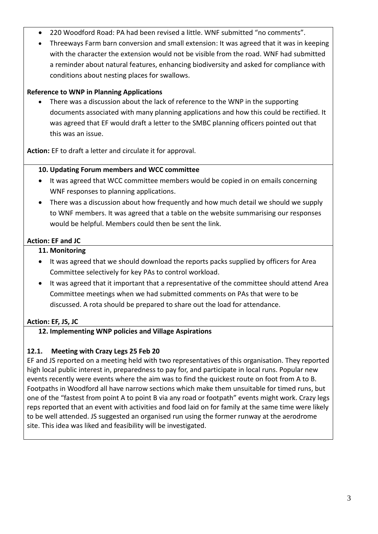- 220 Woodford Road: PA had been revised a little. WNF submitted "no comments".
- Threeways Farm barn conversion and small extension: It was agreed that it was in keeping with the character the extension would not be visible from the road. WNF had submitted a reminder about natural features, enhancing biodiversity and asked for compliance with conditions about nesting places for swallows.

# **Reference to WNP in Planning Applications**

 There was a discussion about the lack of reference to the WNP in the supporting documents associated with many planning applications and how this could be rectified. It was agreed that EF would draft a letter to the SMBC planning officers pointed out that this was an issue.

**Action:** EF to draft a letter and circulate it for approval.

### **10. Updating Forum members and WCC committee**

- It was agreed that WCC committee members would be copied in on emails concerning WNF responses to planning applications.
- There was a discussion about how frequently and how much detail we should we supply to WNF members. It was agreed that a table on the website summarising our responses would be helpful. Members could then be sent the link.

# **Action: EF and JC**

### **11. Monitoring**

- It was agreed that we should download the reports packs supplied by officers for Area Committee selectively for key PAs to control workload.
- It was agreed that it important that a representative of the committee should attend Area Committee meetings when we had submitted comments on PAs that were to be discussed. A rota should be prepared to share out the load for attendance.

# **Action: EF, JS, JC**

# **12. Implementing WNP policies and Village Aspirations**

# **12.1. Meeting with Crazy Legs 25 Feb 20**

EF and JS reported on a meeting held with two representatives of this organisation. They reported high local public interest in, preparedness to pay for, and participate in local runs. Popular new events recently were events where the aim was to find the quickest route on foot from A to B. Footpaths in Woodford all have narrow sections which make them unsuitable for timed runs, but one of the "fastest from point A to point B via any road or footpath" events might work. Crazy legs reps reported that an event with activities and food laid on for family at the same time were likely to be well attended. JS suggested an organised run using the former runway at the aerodrome site. This idea was liked and feasibility will be investigated.